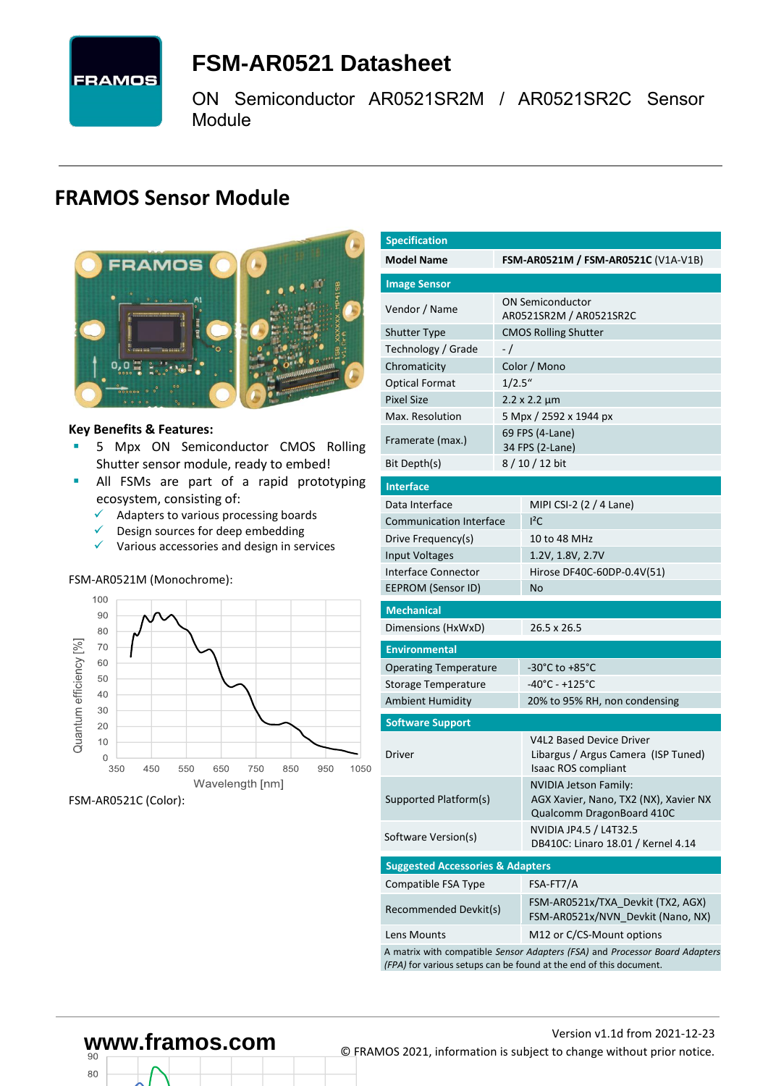

# <span id="page-0-7"></span>**FSM-AR0521 [Datasheet](#page-0-0)**

<span id="page-0-3"></span>[ON Semiconductor](#page-0-1) [AR0521SR2M / AR0521SR2C](#page-0-2) Sensor Module

## **FRAMOS Sensor Module**



#### **Key Benefits & Features:**

- [5](#page-0-4) Mpx [ON Semiconductor](#page-0-1) CMOS Rolling [Shutter](#page-0-5) sensor module, ready to embed!
- All FSMs are part of a rapid prototyping ecosystem, consisting of:
	- $\checkmark$  Adapters to various processing boards
	- $\checkmark$  Design sources for deep embedding
	- ✓ Various accessories and design in services

#### FSM-AR0521M (Monochrome):



FSM-AR0521C (Color):

 $80$ 

<span id="page-0-6"></span><span id="page-0-5"></span><span id="page-0-4"></span><span id="page-0-2"></span><span id="page-0-1"></span><span id="page-0-0"></span>

| <b>Specification</b>                        |           |                                                                                                                                                   |  |  |  |  |
|---------------------------------------------|-----------|---------------------------------------------------------------------------------------------------------------------------------------------------|--|--|--|--|
| <b>Model Name</b>                           |           | <b>FSM-AR0521M / FSM-AR0521C (V1A-V1B)</b>                                                                                                        |  |  |  |  |
| <b>Image Sensor</b>                         |           |                                                                                                                                                   |  |  |  |  |
| Vendor / Name                               |           | <b>ON Semiconductor</b><br>AR0521SR2M / AR0521SR2C                                                                                                |  |  |  |  |
| <b>Shutter Type</b>                         |           | <b>CMOS Rolling Shutter</b>                                                                                                                       |  |  |  |  |
| Technology / Grade                          | $-$ /     |                                                                                                                                                   |  |  |  |  |
| Chromaticity                                |           | Color / Mono                                                                                                                                      |  |  |  |  |
| <b>Optical Format</b>                       | $1/2.5$ " |                                                                                                                                                   |  |  |  |  |
| <b>Pixel Size</b>                           |           | $2.2 \times 2.2 \mu m$                                                                                                                            |  |  |  |  |
| Max. Resolution                             |           | 5 Mpx / 2592 x 1944 px                                                                                                                            |  |  |  |  |
| Framerate (max.)                            |           | 69 FPS (4-Lane)<br>34 FPS (2-Lane)                                                                                                                |  |  |  |  |
| Bit Depth(s)                                |           | 8/10/12 bit                                                                                                                                       |  |  |  |  |
| <b>Interface</b>                            |           |                                                                                                                                                   |  |  |  |  |
| Data Interface                              |           | MIPI CSI-2 (2 / 4 Lane)                                                                                                                           |  |  |  |  |
| <b>Communication Interface</b>              |           | $l^2C$                                                                                                                                            |  |  |  |  |
| Drive Frequency(s)                          |           | 10 to 48 MHz                                                                                                                                      |  |  |  |  |
| <b>Input Voltages</b>                       |           | 1.2V, 1.8V, 2.7V                                                                                                                                  |  |  |  |  |
| Interface Connector                         |           | Hirose DF40C-60DP-0.4V(51)                                                                                                                        |  |  |  |  |
| <b>EEPROM (Sensor ID)</b>                   |           | No                                                                                                                                                |  |  |  |  |
| <b>Mechanical</b>                           |           |                                                                                                                                                   |  |  |  |  |
| Dimensions (HxWxD)                          |           | 26.5 x 26.5                                                                                                                                       |  |  |  |  |
| <b>Environmental</b>                        |           |                                                                                                                                                   |  |  |  |  |
| <b>Operating Temperature</b>                |           | -30°C to +85°C                                                                                                                                    |  |  |  |  |
| Storage Temperature                         |           | $-40^{\circ}$ C - +125 $^{\circ}$ C                                                                                                               |  |  |  |  |
| <b>Ambient Humidity</b>                     |           | 20% to 95% RH, non condensing                                                                                                                     |  |  |  |  |
| <b>Software Support</b>                     |           |                                                                                                                                                   |  |  |  |  |
| Driver                                      |           | <b>V4L2 Based Device Driver</b><br>Libargus / Argus Camera (ISP Tuned)<br>Isaac ROS compliant                                                     |  |  |  |  |
| Supported Platform(s)                       |           | NVIDIA Jetson Family:<br>AGX Xavier, Nano, TX2 (NX), Xavier NX<br>Qualcomm DragonBoard 410C                                                       |  |  |  |  |
| Software Version(s)                         |           | NVIDIA JP4.5 / L4T32.5<br>DB410C: Linaro 18.01 / Kernel 4.14                                                                                      |  |  |  |  |
| <b>Suggested Accessories &amp; Adapters</b> |           |                                                                                                                                                   |  |  |  |  |
| Compatible FSA Type                         |           | FSA-FT7/A                                                                                                                                         |  |  |  |  |
| Recommended Devkit(s)                       |           | FSM-AR0521x/TXA Devkit (TX2, AGX)<br>FSM-AR0521x/NVN_Devkit (Nano, NX)                                                                            |  |  |  |  |
| Lens Mounts                                 |           | M12 or C/CS-Mount options                                                                                                                         |  |  |  |  |
|                                             |           | A matrix with compatible Sensor Adapters (FSA) and Processor Board Adapters<br>(FPA) for various setups can be found at the end of this document. |  |  |  |  |

# Version [v1.1d](#page-0-3) from 2021-12-23 **www.framos.com** © FRAMOS 2021, information is subject to change without prior notice.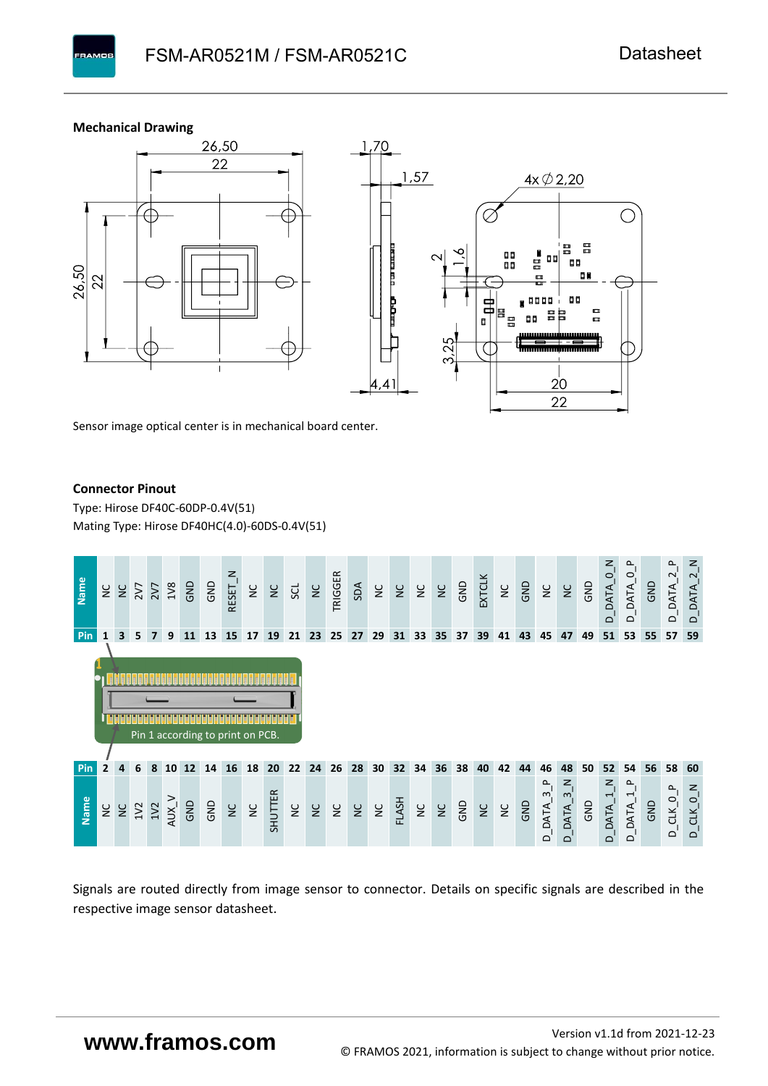**Mechanical Drawing**

**PAMOS** 



Sensor image optical center is in mechanical board center.

#### **Connector Pinout**

Type: [Hirose DF40C-60DP-0.4V\(51](#page-0-6)[\)](#page-0-6)  Mating Type: Hirose DF40HC(4.0)-60DS-0.4V(51)



Signals are routed directly from image sensor to connector. Details on specific signals are described in the respective image sensor datasheet.

# **www.framos.com**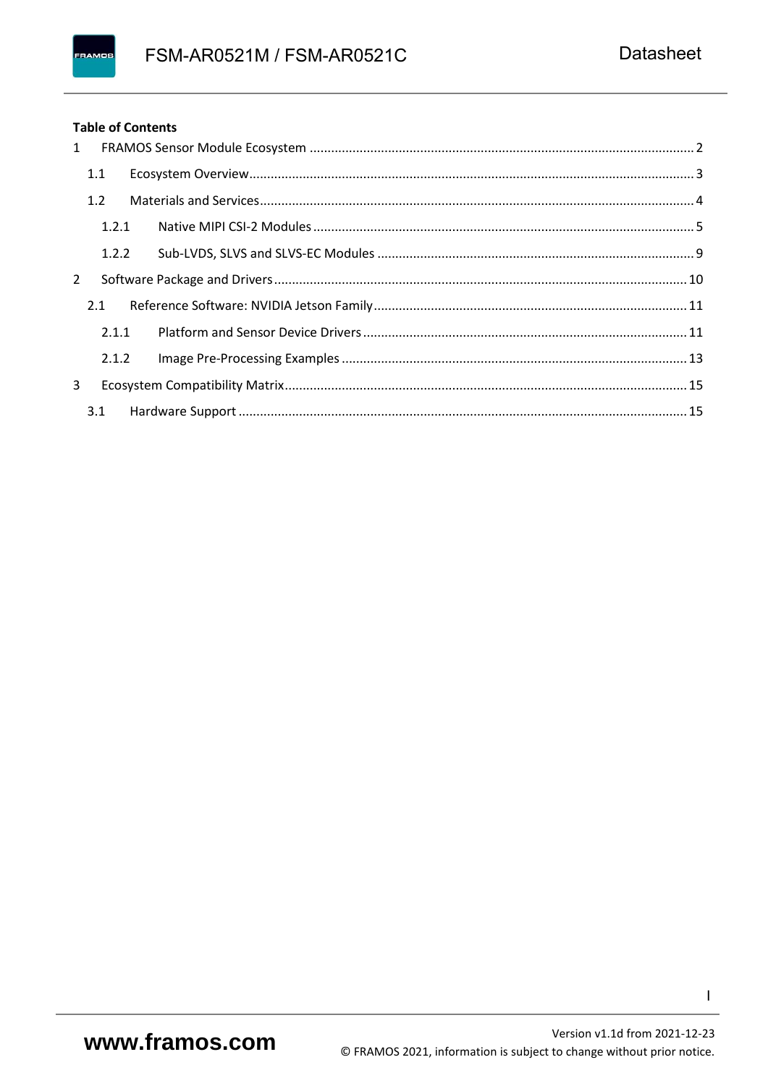#### **Table of Contents**

| 1 |       |  |
|---|-------|--|
|   | 1.1   |  |
|   | 1.2   |  |
|   | 1.2.1 |  |
|   | 1.2.2 |  |
| 2 |       |  |
|   | 2.1   |  |
|   | 2.1.1 |  |
|   | 2.1.2 |  |
| 3 |       |  |
|   |       |  |

 $\mathbf{I}$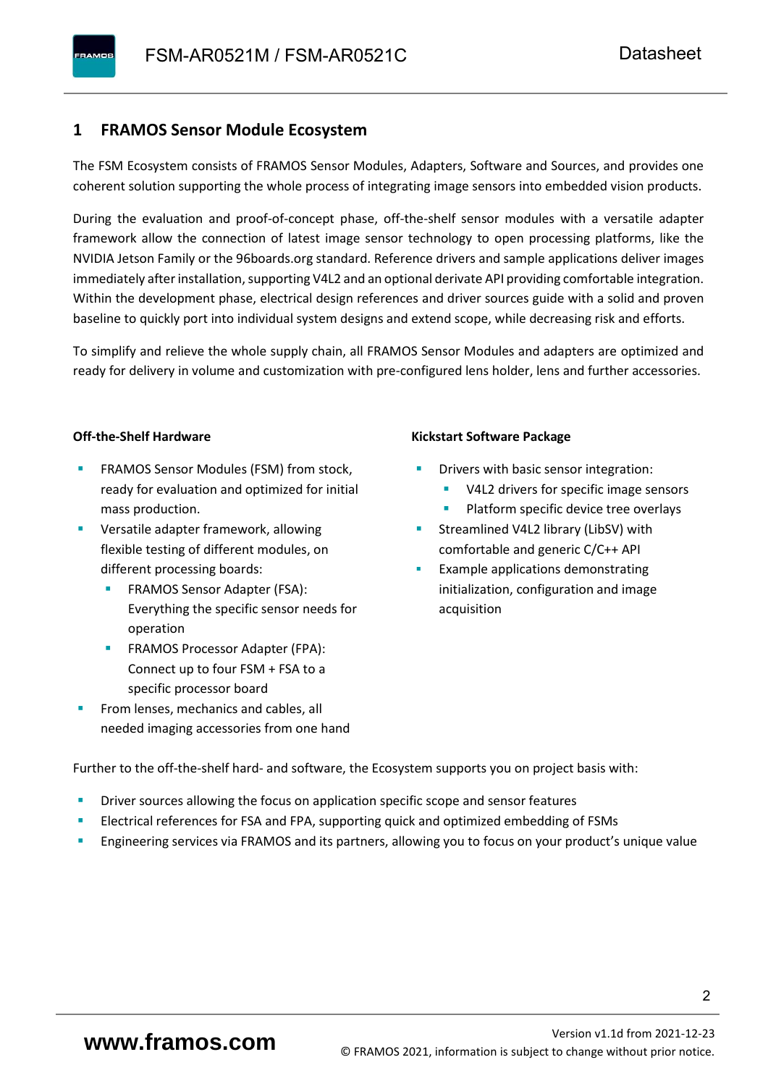#### <span id="page-3-0"></span>**1 FRAMOS Sensor Module Ecosystem**

The FSM Ecosystem consists of FRAMOS Sensor Modules, Adapters, Software and Sources, and provides one coherent solution supporting the whole process of integrating image sensors into embedded vision products.

During the evaluation and proof-of-concept phase, off-the-shelf sensor modules with a versatile adapter framework allow the connection of latest image sensor technology to open processing platforms, like the NVIDIA Jetson Family or the 96boards.org standard. Reference drivers and sample applications deliver images immediately after installation, supporting V4L2 and an optional derivate API providing comfortable integration. Within the development phase, electrical design references and driver sources guide with a solid and proven baseline to quickly port into individual system designs and extend scope, while decreasing risk and efforts.

To simplify and relieve the whole supply chain, all FRAMOS Sensor Modules and adapters are optimized and ready for delivery in volume and customization with pre-configured lens holder, lens and further accessories.

#### **Off-the-Shelf Hardware**

- FRAMOS Sensor Modules (FSM) from stock, ready for evaluation and optimized for initial mass production.
- Versatile adapter framework, allowing flexible testing of different modules, on different processing boards:
	- FRAMOS Sensor Adapter (FSA): Everything the specific sensor needs for operation
	- FRAMOS Processor Adapter (FPA): Connect up to four FSM + FSA to a specific processor board
- From lenses, mechanics and cables, all needed imaging accessories from one hand

#### **Kickstart Software Package**

- Drivers with basic sensor integration:
	- V4L2 drivers for specific image sensors
	- Platform specific device tree overlays
- Streamlined V4L2 library (LibSV) with comfortable and generic C/C++ API
- Example applications demonstrating initialization, configuration and image acquisition

Further to the off-the-shelf hard- and software, the Ecosystem supports you on project basis with:

- Driver sources allowing the focus on application specific scope and sensor features
- Electrical references for FSA and FPA, supporting quick and optimized embedding of FSMs
- Engineering services via FRAMOS and its partners, allowing you to focus on your product's unique value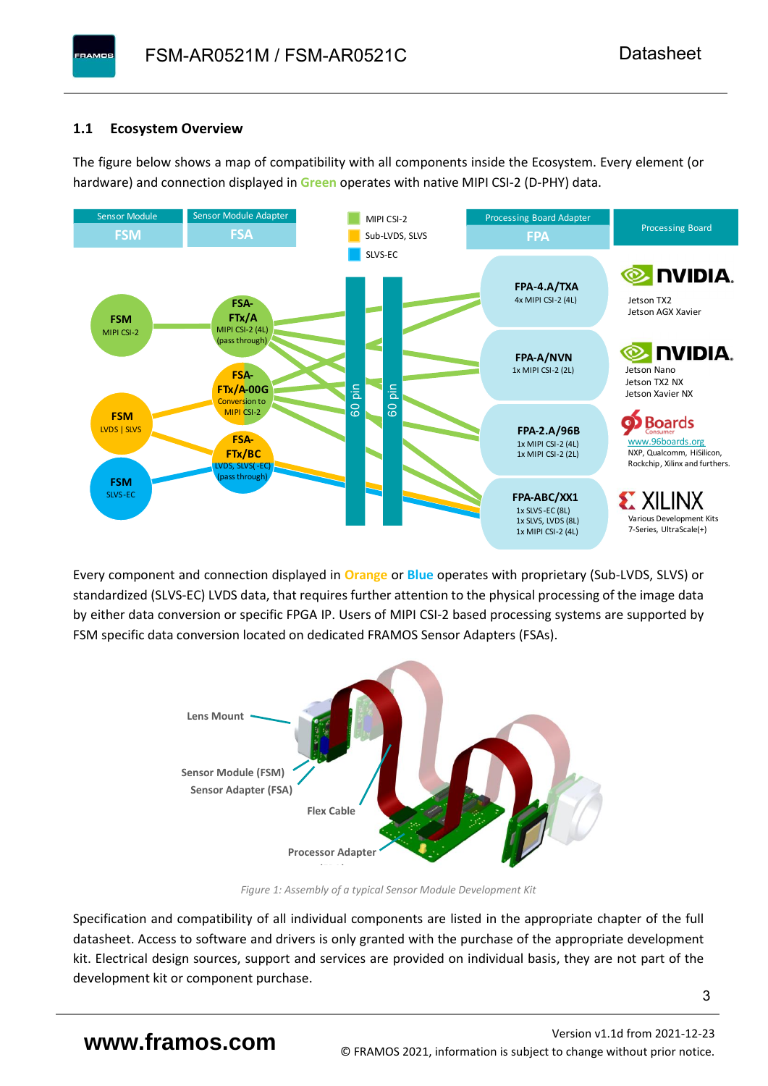#### <span id="page-4-0"></span>**1.1 Ecosystem Overview**

**PAMOS** 

The figure below shows a map of compatibility with all components inside the Ecosystem. Every element (or hardware) and connection displayed in **Green** operates with native MIPI CSI-2 (D-PHY) data.



Every component and connection displayed in **Orange** or **Blue** operates with proprietary (Sub-LVDS, SLVS) or standardized (SLVS-EC) LVDS data, that requires further attention to the physical processing of the image data by either data conversion or specific FPGA IP. Users of MIPI CSI-2 based processing systems are supported by FSM specific data conversion located on dedicated FRAMOS Sensor Adapters (FSAs).



*Figure 1: Assembly of a typical Sensor Module Development Kit*

Specification and compatibility of all individual components are listed in the appropriate chapter of the full datasheet. Access to software and drivers is only granted with the purchase of the appropriate development kit. Electrical design sources, support and services are provided on individual basis, they are not part of the development kit or component purchase.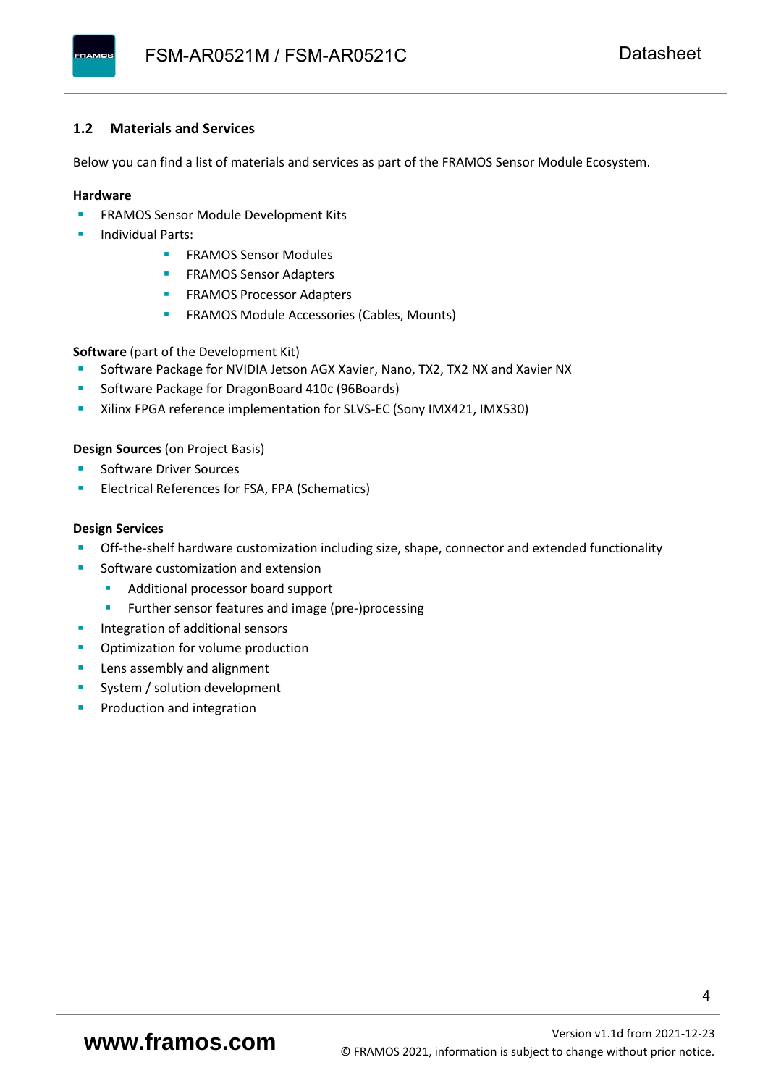#### <span id="page-5-0"></span>**1.2 Materials and Services**

Below you can find a list of materials and services as part of the FRAMOS Sensor Module Ecosystem.

#### **Hardware**

- **EXECTED FRAMOS Sensor Module Development Kits**
- **Individual Parts:** 
	- FRAMOS Sensor Modules
	- **FRAMOS Sensor Adapters**
	- **EXAMOS Processor Adapters**
	- **EXECTED** FRAMOS Module Accessories (Cables, Mounts)

**Software** (part of the Development Kit)

- Software Package for NVIDIA Jetson AGX Xavier, Nano, TX2, TX2 NX and Xavier NX
- Software Package for DragonBoard 410c (96Boards)
- **E** Xilinx FPGA reference implementation for SLVS-EC (Sony IMX421, IMX530)

#### **Design Sources** (on Project Basis)

- Software Driver Sources
- Electrical References for FSA, FPA (Schematics)

#### **Design Services**

- Off-the-shelf hardware customization including size, shape, connector and extended functionality
- Software customization and extension
	- Additional processor board support
	- Further sensor features and image (pre-)processing
- **■** Integration of additional sensors
- Optimization for volume production
- Lens assembly and alignment
- System / solution development
- Production and integration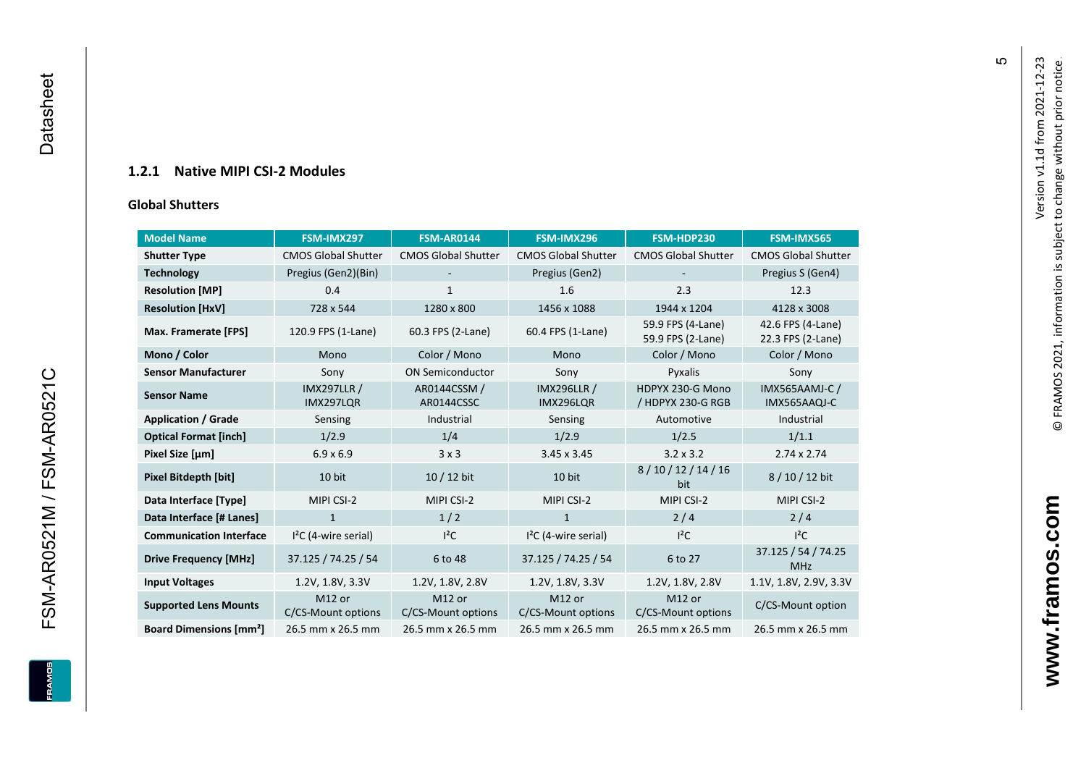#### **1.2.1 Native MIPI CSI - 2 Modules**

#### **[Global Shu](#page-0-7)tters**

<span id="page-6-0"></span>

| <b>Model Name</b>                        | FSM-IMX297                      | <b>FSM-AR0144</b>            | FSM-IMX296                      | FSM-HDP230                             | FSM-IMX565                             |
|------------------------------------------|---------------------------------|------------------------------|---------------------------------|----------------------------------------|----------------------------------------|
| <b>Shutter Type</b>                      | <b>CMOS Global Shutter</b>      | <b>CMOS Global Shutter</b>   | <b>CMOS Global Shutter</b>      | <b>CMOS Global Shutter</b>             | <b>CMOS Global Shutter</b>             |
| <b>Technology</b>                        | Pregius (Gen2)(Bin)             |                              | Pregius (Gen2)                  |                                        | Pregius S (Gen4)                       |
| <b>Resolution [MP]</b>                   | 0.4                             | $\mathbf{1}$                 | 1.6                             | 2.3                                    | 12.3                                   |
| <b>Resolution [HxV]</b>                  | 728 x 544                       | 1280 x 800                   | 1456 x 1088                     | 1944 x 1204                            | 4128 x 3008                            |
| Max. Framerate [FPS]                     | 120.9 FPS (1-Lane)              | 60.3 FPS (2-Lane)            | 60.4 FPS (1-Lane)               | 59.9 FPS (4-Lane)<br>59.9 FPS (2-Lane) | 42.6 FPS (4-Lane)<br>22.3 FPS (2-Lane) |
| Mono / Color                             | Mono                            | Color / Mono                 | Mono                            | Color / Mono                           | Color / Mono                           |
| <b>Sensor Manufacturer</b>               | Sony                            | <b>ON Semiconductor</b>      | Sony                            | Pyxalis                                | Sony                                   |
| <b>Sensor Name</b>                       | <b>IMX297LLR /</b><br>IMX297LQR | AR0144CSSM /<br>AR0144CSSC   | <b>IMX296LLR /</b><br>IMX296LQR | HDPYX 230-G Mono<br>/ HDPYX 230-G RGB  | <b>IMX565AAMJ-C/</b><br>IMX565AAQJ-C   |
| <b>Application / Grade</b>               | Sensing                         | Industrial                   | Sensing                         | Automotive                             | Industrial                             |
| <b>Optical Format [inch]</b>             | 1/2.9                           | 1/4                          | 1/2.9                           | 1/2.5                                  | 1/1.1                                  |
| Pixel Size [µm]                          | $6.9 \times 6.9$                | 3x3                          | $3.45 \times 3.45$              | $3.2 \times 3.2$                       | $2.74 \times 2.74$                     |
| <b>Pixel Bitdepth [bit]</b>              | 10 bit                          | $10/12$ bit                  | 10 bit                          | 8/10/12/14/16<br>bit                   | 8/10/12 bit                            |
| Data Interface [Type]                    | MIPI CSI-2                      | MIPI CSI-2                   | MIPI CSI-2                      | MIPI CSI-2                             | MIPI CSI-2                             |
| Data Interface [# Lanes]                 | $\mathbf{1}$                    | 1/2                          | $\mathbf{1}$                    | 2/4                                    | 2/4                                    |
| <b>Communication Interface</b>           | $I2C$ (4-wire serial)           | $I^2C$                       | $I2C$ (4-wire serial)           | $l^2C$                                 | $I^2C$                                 |
| <b>Drive Frequency [MHz]</b>             | 37.125 / 74.25 / 54             | 6 to 48                      | 37.125 / 74.25 / 54             | 6 to 27                                | 37.125 / 54 / 74.25<br><b>MHz</b>      |
| <b>Input Voltages</b>                    | 1.2V, 1.8V, 3.3V                | 1.2V, 1.8V, 2.8V             | 1.2V, 1.8V, 3.3V                | 1.2V, 1.8V, 2.8V                       | 1.1V, 1.8V, 2.9V, 3.3V                 |
| <b>Supported Lens Mounts</b>             | M12 or<br>C/CS-Mount options    | M12 or<br>C/CS-Mount options | M12 or<br>C/CS-Mount options    | M12 or<br>C/CS-Mount options           | C/CS-Mount option                      |
| <b>Board Dimensions [mm<sup>2</sup>]</b> | 26.5 mm x 26.5 mm               | 26.5 mm x 26.5 mm            | 26.5 mm x 26.5 mm               | 26.5 mm x 26.5 mm                      | 26.5 mm x 26.5 mm                      |

Version v1.1d from 2021-12-23

Version v1.1d from 2021-12-23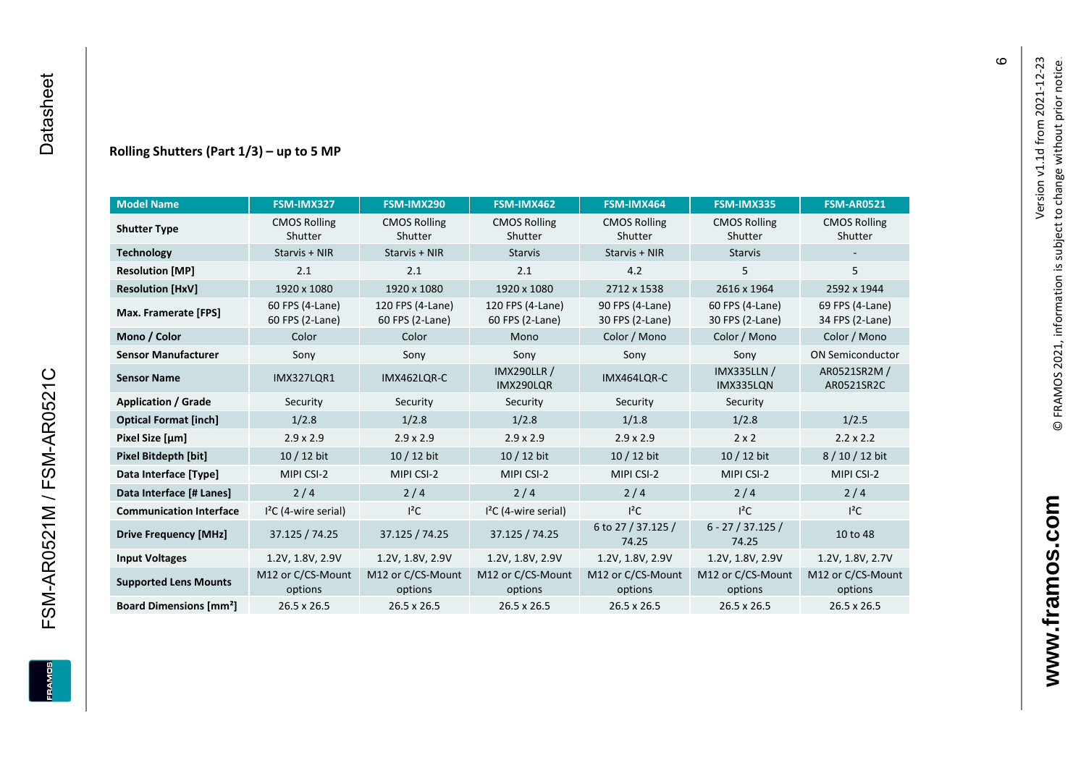#### **Rolling Shutters (Part 1/ 3 ) – up to 5 MP**

| <b>Model Name</b>                              | FSM-IMX327                         | FSM-IMX290                          | FSM-IMX462                           | FSM-IMX464                         | FSM-IMX335                         | <b>FSM-AR0521</b>                  |
|------------------------------------------------|------------------------------------|-------------------------------------|--------------------------------------|------------------------------------|------------------------------------|------------------------------------|
| <b>Shutter Type</b>                            | <b>CMOS Rolling</b><br>Shutter     | <b>CMOS Rolling</b><br>Shutter      | <b>CMOS Rolling</b><br>Shutter       | <b>CMOS Rolling</b><br>Shutter     | <b>CMOS Rolling</b><br>Shutter     | <b>CMOS Rolling</b><br>Shutter     |
| <b>Technology</b>                              | Starvis + NIR                      | Starvis + NIR                       | <b>Starvis</b>                       | Starvis + NIR                      | <b>Starvis</b>                     |                                    |
| <b>Resolution [MP]</b>                         | 2.1                                | 2.1                                 | 2.1                                  | 4.2                                | 5                                  | 5                                  |
| <b>Resolution [HxV]</b>                        | 1920 x 1080                        | 1920 x 1080                         | 1920 x 1080                          | 2712 x 1538                        | 2616 x 1964                        | 2592 x 1944                        |
| Max. Framerate [FPS]                           | 60 FPS (4-Lane)<br>60 FPS (2-Lane) | 120 FPS (4-Lane)<br>60 FPS (2-Lane) | 120 FPS (4-Lane)<br>60 FPS (2-Lane)  | 90 FPS (4-Lane)<br>30 FPS (2-Lane) | 60 FPS (4-Lane)<br>30 FPS (2-Lane) | 69 FPS (4-Lane)<br>34 FPS (2-Lane) |
| Mono / Color                                   | Color                              | Color                               | Mono                                 | Color / Mono                       | Color / Mono                       | Color / Mono                       |
| <b>Sensor Manufacturer</b>                     | Sony                               | Sony                                | Sony                                 | Sony                               | Sony                               | <b>ON Semiconductor</b>            |
| <b>Sensor Name</b>                             | <b>IMX327LOR1</b>                  | IMX462LQR-C                         | <b>IMX290LLR /</b><br>IMX290LQR      | IMX464LQR-C                        | <b>IMX335LLN /</b><br>IMX335LQN    | AR0521SR2M /<br>AR0521SR2C         |
| <b>Application / Grade</b>                     | Security                           | Security                            | Security                             | Security                           | Security                           |                                    |
| <b>Optical Format [inch]</b>                   | 1/2.8                              | 1/2.8                               | 1/2.8<br>1/1.8                       |                                    | 1/2.8                              | 1/2.5                              |
| Pixel Size [µm]                                | $2.9 \times 2.9$                   | $2.9 \times 2.9$                    | $2.9 \times 2.9$<br>$2.9 \times 2.9$ |                                    | $2 \times 2$                       | $2.2 \times 2.2$                   |
| <b>Pixel Bitdepth [bit]</b>                    | 10 / 12 bit                        | 10 / 12 bit                         | 10 / 12 bit                          | 10 / 12 bit                        | 10 / 12 bit                        | 8/10/12 bit                        |
| Data Interface [Type]                          | MIPI CSI-2                         | MIPI CSI-2                          | MIPI CSI-2                           | MIPI CSI-2                         | MIPI CSI-2                         | MIPI CSI-2                         |
| Data Interface [# Lanes]                       | 2/4                                | 2/4                                 | 2/4                                  | 2/4                                | 2/4                                | 2/4                                |
| <b>Communication Interface</b>                 | $I2C$ (4-wire serial)              | $I^2C$                              | $I2C$ (4-wire serial)                | $I^2C$                             | $l^2C$                             | $l^2C$                             |
| <b>Drive Frequency [MHz]</b><br>37.125 / 74.25 |                                    | 37.125 / 74.25                      | 37.125 / 74.25                       | 6 to 27 / 37.125 /<br>74.25        | $6 - 27 / 37.125 /$<br>74.25       | 10 to 48                           |
| <b>Input Voltages</b>                          | 1.2V, 1.8V, 2.9V                   | 1.2V, 1.8V, 2.9V                    | 1.2V, 1.8V, 2.9V                     | 1.2V, 1.8V, 2.9V                   | 1.2V, 1.8V, 2.9V                   | 1.2V, 1.8V, 2.7V                   |
| <b>Supported Lens Mounts</b>                   | M12 or C/CS-Mount<br>options       | M12 or C/CS-Mount<br>options        | M12 or C/CS-Mount<br>options         | M12 or C/CS-Mount<br>options       | M12 or C/CS-Mount<br>options       | M12 or C/CS-Mount<br>options       |
| <b>Board Dimensions [mm<sup>2</sup>]</b>       | 26.5 x 26.5                        | 26.5 x 26.5                         | $26.5 \times 26.5$                   | 26.5 x 26.5                        | 26.5 x 26.5                        | 26.5 x 26.5                        |

FSM-AR0521M / FSM-AR0521C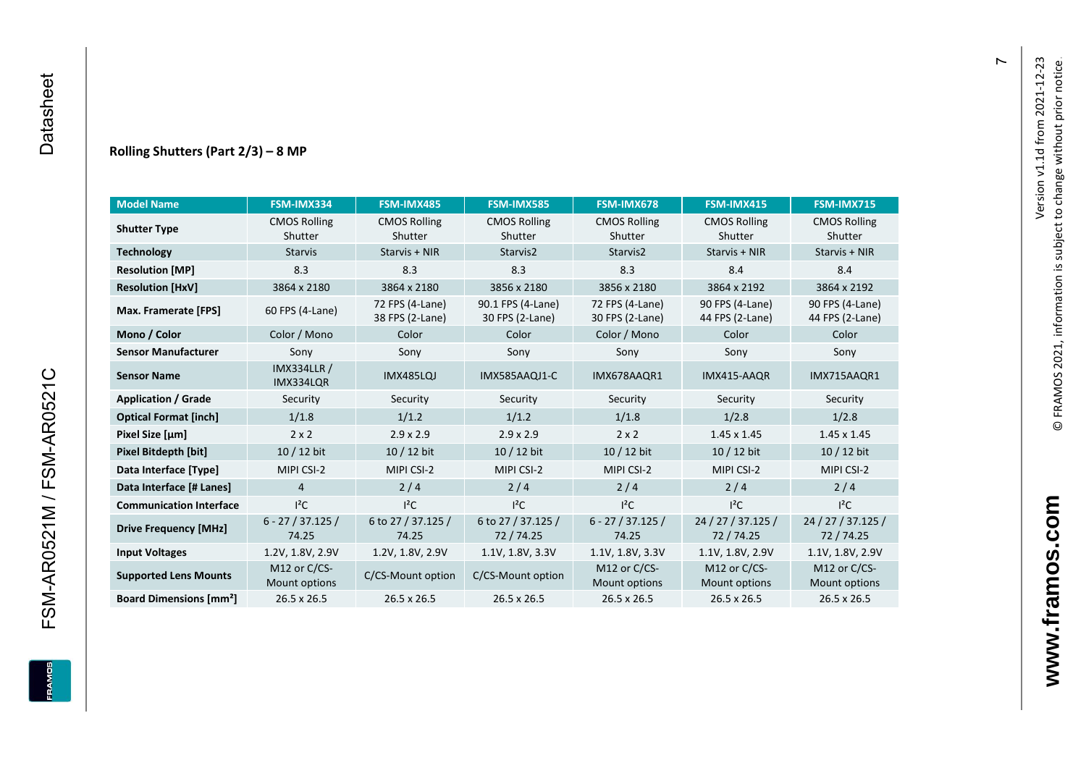#### **Rolling Shutters (Part 2/ 3 ) – 8 MP**

| <b>Model Name</b>                                     | FSM-IMX334                      | FSM-IMX485                         | <b>FSM-IMX585</b>                    | FSM-IMX678                         | FSM-IMX415                         | <b>FSM-IMX715</b>                  |
|-------------------------------------------------------|---------------------------------|------------------------------------|--------------------------------------|------------------------------------|------------------------------------|------------------------------------|
| <b>CMOS Rolling</b><br><b>Shutter Type</b><br>Shutter |                                 | <b>CMOS Rolling</b><br>Shutter     | <b>CMOS Rolling</b><br>Shutter       | <b>CMOS Rolling</b><br>Shutter     | <b>CMOS Rolling</b><br>Shutter     | <b>CMOS Rolling</b><br>Shutter     |
| <b>Technology</b>                                     | <b>Starvis</b>                  | Starvis + NIR                      | Starvis2                             | Starvis2                           | Starvis + NIR                      | Starvis + NIR                      |
| <b>Resolution [MP]</b>                                | 8.3                             | 8.3                                | 8.3                                  | 8.3                                | 8.4                                | 8.4                                |
| <b>Resolution [HxV]</b>                               | 3864 x 2180                     | 3864 x 2180                        | 3856 x 2180                          | 3856 x 2180                        | 3864 x 2192                        | 3864 x 2192                        |
| Max. Framerate [FPS]                                  | 60 FPS (4-Lane)                 | 72 FPS (4-Lane)<br>38 FPS (2-Lane) | 90.1 FPS (4-Lane)<br>30 FPS (2-Lane) | 72 FPS (4-Lane)<br>30 FPS (2-Lane) | 90 FPS (4-Lane)<br>44 FPS (2-Lane) | 90 FPS (4-Lane)<br>44 FPS (2-Lane) |
| Mono / Color                                          | Color / Mono                    | Color                              | Color                                | Color / Mono                       | Color                              | Color                              |
| <b>Sensor Manufacturer</b>                            | Sony                            | Sony                               | Sony                                 | Sony                               | Sony                               | Sony                               |
| <b>Sensor Name</b>                                    | <b>IMX334LLR /</b><br>IMX334LQR | IMX485LQJ                          | IMX585AAQJ1-C                        | IMX678AAQR1                        | IMX415-AAQR                        | IMX715AAQR1                        |
| <b>Application / Grade</b>                            | Security                        | Security                           | Security                             | Security                           | Security                           | Security                           |
| <b>Optical Format [inch]</b>                          | 1/1.8                           | 1/1.2                              | 1/1.2<br>1/1.8                       |                                    | 1/2.8                              | 1/2.8                              |
| Pixel Size [µm]                                       | $2 \times 2$                    | $2.9 \times 2.9$                   | $2.9 \times 2.9$                     | $2 \times 2$                       | $1.45 \times 1.45$                 | $1.45 \times 1.45$                 |
| Pixel Bitdepth [bit]                                  | 10 / 12 bit                     | 10 / 12 bit                        | $10/12$ bit                          | $10/12$ bit                        | 10 / 12 bit                        | $10/12$ bit                        |
| Data Interface [Type]                                 | MIPI CSI-2                      | MIPI CSI-2                         | MIPI CSI-2                           | MIPI CSI-2                         | MIPI CSI-2                         | MIPI CSI-2                         |
| Data Interface [# Lanes]                              | $\overline{4}$                  | 2/4                                | 2/4                                  | 2/4                                | 2/4                                | 2/4                                |
| <b>Communication Interface</b>                        | $I^2C$                          | $I^2C$                             | $I^2C$                               | $I^2C$                             | $I^2C$                             | $I^2C$                             |
| <b>Drive Frequency [MHz]</b>                          | $6 - 27 / 37.125 /$<br>74.25    | 6 to 27 / 37.125 /<br>74.25        | 6 to 27 / 37.125 /<br>72/74.25       | $6 - 27 / 37.125 /$<br>74.25       | 24 / 27 / 37.125 /<br>72/74.25     | 24 / 27 / 37.125 /<br>72/74.25     |
| <b>Input Voltages</b>                                 | 1.2V, 1.8V, 2.9V                | 1.2V, 1.8V, 2.9V                   | 1.1V, 1.8V, 3.3V                     | 1.1V, 1.8V, 3.3V                   | 1.1V, 1.8V, 2.9V                   | 1.1V, 1.8V, 2.9V                   |
| <b>Supported Lens Mounts</b>                          | M12 or C/CS-<br>Mount options   | C/CS-Mount option                  | C/CS-Mount option                    | M12 or C/CS-<br>Mount options      | M12 or C/CS-<br>Mount options      | M12 or C/CS-<br>Mount options      |
| <b>Board Dimensions [mm<sup>2</sup>]</b>              | $26.5 \times 26.5$              | $26.5 \times 26.5$                 | 26.5 x 26.5                          | 26.5 x 26.5                        | 26.5 x 26.5                        | 26.5 x 26.5                        |

 $\blacktriangleright$ 

FSM-AR0521M / FSM-AR0521C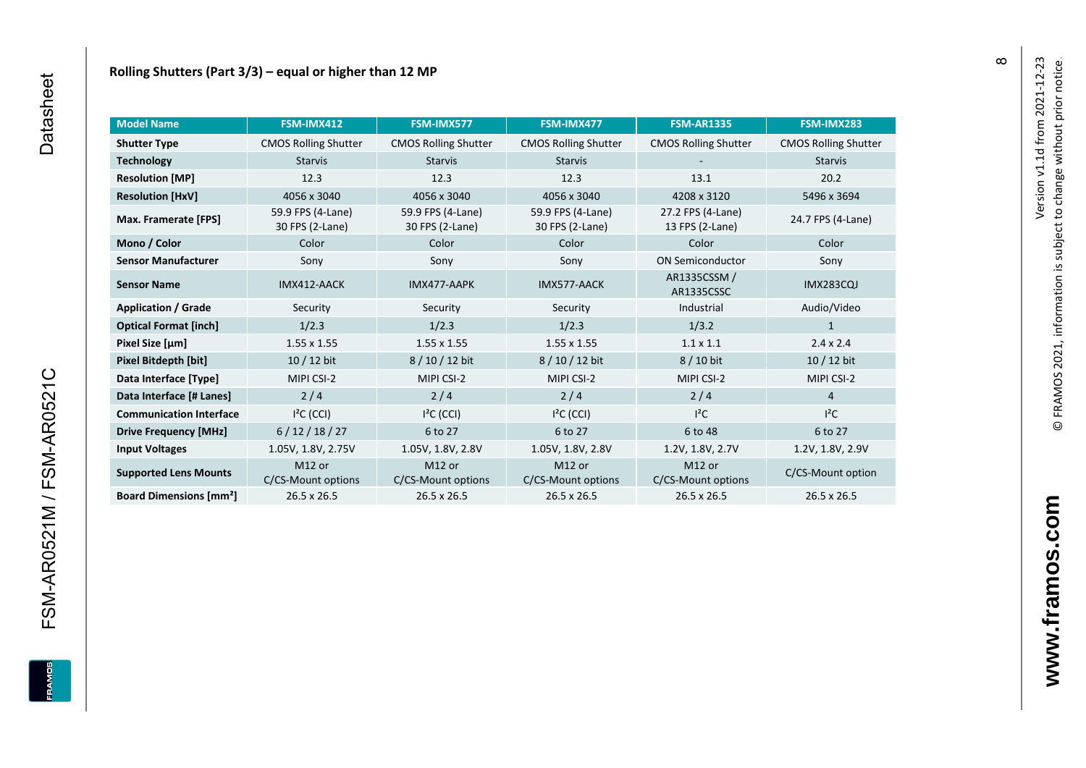| <b>Model Name</b>                        | FSM-IMX412                               | FSM-IMX577                               | FSM-IMX477                               | <b>FSM-AR1335</b>                    | FSM-IMX283                  |
|------------------------------------------|------------------------------------------|------------------------------------------|------------------------------------------|--------------------------------------|-----------------------------|
| <b>Shutter Type</b>                      | <b>CMOS Rolling Shutter</b>              | <b>CMOS Rolling Shutter</b>              | <b>CMOS Rolling Shutter</b>              | <b>CMOS Rolling Shutter</b>          | <b>CMOS Rolling Shutter</b> |
| <b>Technology</b>                        | <b>Starvis</b>                           | <b>Starvis</b>                           | <b>Starvis</b>                           |                                      | <b>Starvis</b>              |
| <b>Resolution [MP]</b>                   | 12.3                                     | 12.3                                     | 12.3                                     | 13.1                                 | 20.2                        |
| <b>Resolution [HxV]</b>                  | 4056 x 3040                              | 4056 x 3040                              | 4056 x 3040                              | 4208 x 3120                          | 5496 x 3694                 |
| Max. Framerate [FPS]                     | 59.9 FPS (4-Lane)<br>30 FPS (2-Lane)     | 59.9 FPS (4-Lane)<br>30 FPS (2-Lane)     | 59.9 FPS (4-Lane)<br>30 FPS (2-Lane)     | 27.2 FPS (4-Lane)<br>13 FPS (2-Lane) | 24.7 FPS (4-Lane)           |
| Mono / Color                             | Color                                    | Color                                    | Color                                    | Color                                | Color                       |
| <b>Sensor Manufacturer</b>               | Sony                                     | Sony                                     | Sony                                     | <b>ON Semiconductor</b>              | Sony                        |
| <b>Sensor Name</b>                       | IMX412-AACK                              | IMX477-AAPK                              | IMX577-AACK                              | AR1335CSSM /<br>AR1335CSSC           | <b>IMX283CQJ</b>            |
| <b>Application / Grade</b>               | Security                                 | Security                                 | Security                                 | Industrial                           | Audio/Video                 |
| <b>Optical Format [inch]</b>             | 1/2.3                                    | 1/2.3                                    | 1/2.3                                    | 1/3.2                                | 1                           |
| Pixel Size [µm]                          | 1.55 x 1.55                              | $1.55 \times 1.55$                       | $1.55 \times 1.55$                       | $1.1 \times 1.1$                     | $2.4 \times 2.4$            |
| <b>Pixel Bitdepth [bit]</b>              | $10/12$ bit                              | 8 / 10 / 12 bit                          | 8/10/12 bit                              | 8 / 10 bit                           | $10/12$ bit                 |
| Data Interface [Type]                    | MIPI CSI-2                               | MIPI CSI-2                               | MIPI CSI-2                               | MIPI CSI-2                           | MIPI CSI-2                  |
| Data Interface [# Lanes]                 | $2/4$                                    | 2/4                                      | 2/4                                      | 2/4                                  | $\overline{4}$              |
| <b>Communication Interface</b>           | $I2C$ (CCI)                              | $I2C$ (CCI)                              | $I2C$ (CCI)                              | $l^2C$                               | $I^2C$                      |
| <b>Drive Frequency [MHz]</b>             | 6/12/18/27                               | 6 to 27                                  | 6 to 27                                  | 6 to 48                              | 6 to 27                     |
| <b>Input Voltages</b>                    | 1.05V, 1.8V, 2.75V                       | 1.05V, 1.8V, 2.8V                        | 1.05V, 1.8V, 2.8V                        | 1.2V, 1.8V, 2.7V                     | 1.2V, 1.8V, 2.9V            |
| <b>Supported Lens Mounts</b>             | M <sub>12</sub> or<br>C/CS-Mount options | M <sub>12</sub> or<br>C/CS-Mount options | M <sub>12</sub> or<br>C/CS-Mount options | M12 or<br>C/CS-Mount options         | C/CS-Mount option           |
| <b>Board Dimensions [mm<sup>2</sup>]</b> | $26.5 \times 26.5$                       | $26.5 \times 26.5$                       | $26.5 \times 26.5$                       | $26.5 \times 26.5$                   | 26.5 x 26.5                 |

FSM-AR0521M / FSM-AR0521C

**FRAM**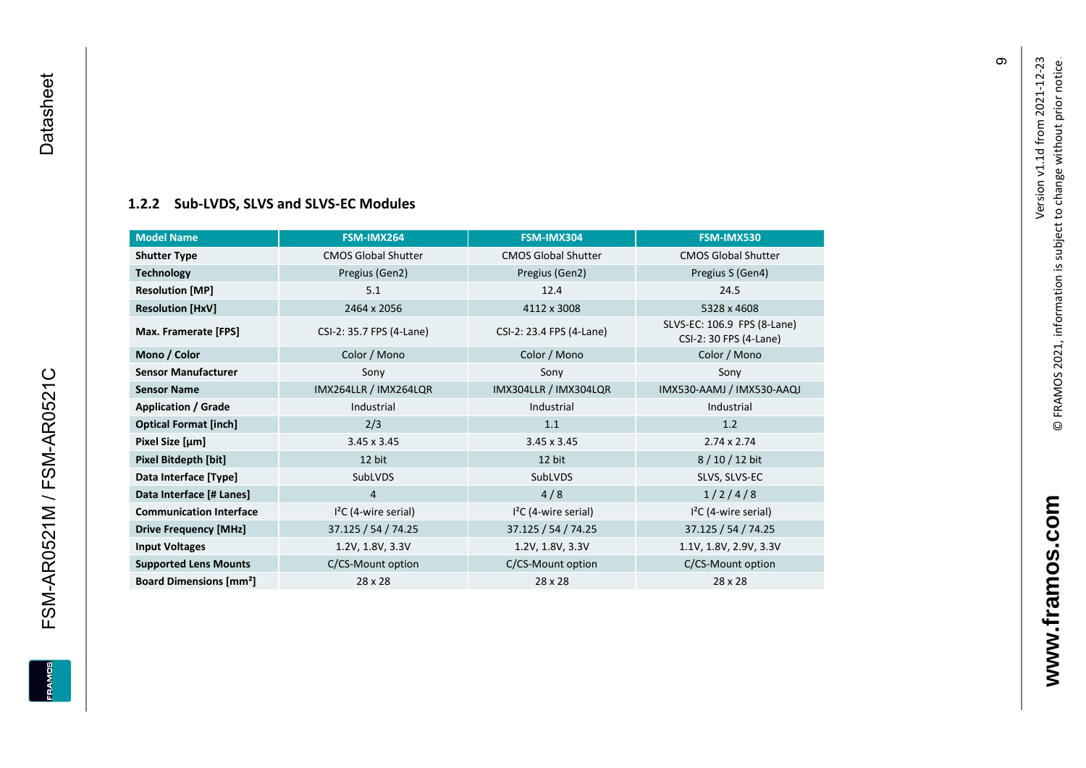FSM-AR0521M / FSM-AR0521C Datasheet

FSM-AR0521M / FSM-AR0521C

<span id="page-10-0"></span>**EDWARE** 

Datasheet

#### **[1.2.2](#page-0-7) Sub -LVDS, SLVS and SLVS -EC Modules**

| <b>Model Name</b>                        | FSM-IMX264                 | FSM-IMX304                 | FSM-IMX530                                            |
|------------------------------------------|----------------------------|----------------------------|-------------------------------------------------------|
| <b>Shutter Type</b>                      | <b>CMOS Global Shutter</b> | <b>CMOS Global Shutter</b> | <b>CMOS Global Shutter</b>                            |
| <b>Technology</b>                        | Pregius (Gen2)             | Pregius (Gen2)             | Pregius S (Gen4)                                      |
| <b>Resolution [MP]</b>                   | 5.1                        | 12.4                       | 24.5                                                  |
| <b>Resolution [HxV]</b>                  | 2464 x 2056                | 4112 x 3008                | 5328 x 4608                                           |
| Max. Framerate [FPS]                     | CSI-2: 35.7 FPS (4-Lane)   | CSI-2: 23.4 FPS (4-Lane)   | SLVS-EC: 106.9 FPS (8-Lane)<br>CSI-2: 30 FPS (4-Lane) |
| Mono / Color                             | Color / Mono               | Color / Mono               | Color / Mono                                          |
| <b>Sensor Manufacturer</b>               | Sony                       | Sony                       | Sony                                                  |
| <b>Sensor Name</b>                       | IMX264LLR / IMX264LQR      | IMX304LLR / IMX304LQR      | IMX530-AAMJ / IMX530-AAQJ                             |
| <b>Application / Grade</b>               | Industrial                 | Industrial                 | Industrial                                            |
| <b>Optical Format [inch]</b>             | 2/3                        | 1.1                        | 1.2                                                   |
| Pixel Size [µm]                          | $3.45 \times 3.45$         | $3.45 \times 3.45$         | $2.74 \times 2.74$                                    |
| Pixel Bitdepth [bit]                     | 12 bit                     | 12 bit                     | 8/10/12 bit                                           |
| Data Interface [Type]                    | <b>SubLVDS</b>             | SubLVDS                    | SLVS, SLVS-EC                                         |
| Data Interface [# Lanes]                 | $\overline{4}$             | 4/8                        | 1/2/4/8                                               |
| <b>Communication Interface</b>           | $I2C$ (4-wire serial)      | $I2C$ (4-wire serial)      | $I2C$ (4-wire serial)                                 |
| <b>Drive Frequency [MHz]</b>             | 37.125 / 54 / 74.25        | 37.125 / 54 / 74.25        | 37.125 / 54 / 74.25                                   |
| <b>Input Voltages</b>                    | 1.2V, 1.8V, 3.3V           | 1.2V, 1.8V, 3.3V           | 1.1V, 1.8V, 2.9V, 3.3V                                |
| <b>Supported Lens Mounts</b>             | C/CS-Mount option          | C/CS-Mount option          | C/CS-Mount option                                     |
| <b>Board Dimensions [mm<sup>2</sup>]</b> | $28 \times 28$             | 28 x 28                    | 28 x 28                                               |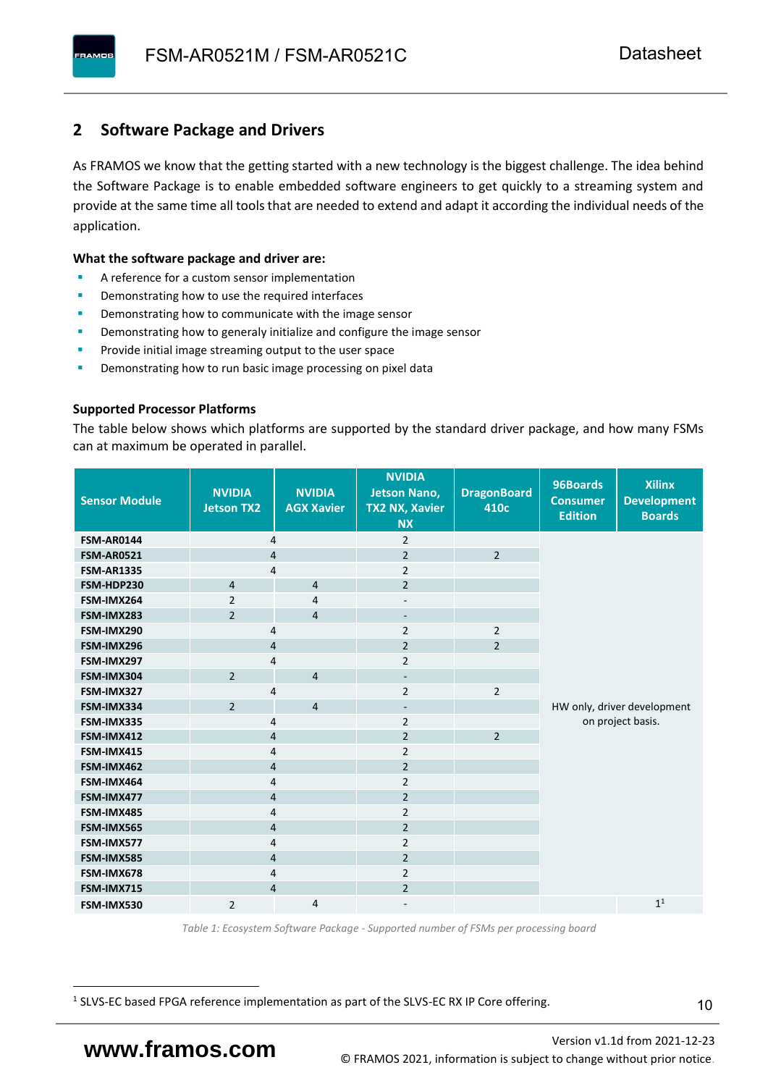### <span id="page-11-0"></span>**2 Software Package and Drivers**

As FRAMOS we know that the getting started with a new technology is the biggest challenge. The idea behind the Software Package is to enable embedded software engineers to get quickly to a streaming system and provide at the same time all tools that are needed to extend and adapt it according the individual needs of the application.

#### **What the software package and driver are:**

- A reference for a custom sensor implementation
- Demonstrating how to use the required interfaces
- Demonstrating how to communicate with the image sensor
- Demonstrating how to generaly initialize and configure the image sensor
- Provide initial image streaming output to the user space
- Demonstrating how to run basic image processing on pixel data

#### **Supported Processor Platforms**

The table below shows which platforms are supported by the standard driver package, and how many FSMs can at maximum be operated in parallel.

| <b>Sensor Module</b> | <b>NVIDIA</b><br><b>Jetson TX2</b> | <b>NVIDIA</b><br><b>AGX Xavier</b> | <b>NVIDIA</b><br><b>Jetson Nano,</b><br><b>TX2 NX, Xavier</b><br><b>NX</b> | <b>DragonBoard</b><br>410c | 96Boards<br><b>Consumer</b><br><b>Edition</b> | <b>Xilinx</b><br><b>Development</b><br><b>Boards</b> |  |
|----------------------|------------------------------------|------------------------------------|----------------------------------------------------------------------------|----------------------------|-----------------------------------------------|------------------------------------------------------|--|
| <b>FSM-AR0144</b>    | 4                                  |                                    | $\overline{2}$                                                             |                            |                                               |                                                      |  |
| <b>FSM-AR0521</b>    | $\overline{4}$                     |                                    | $\overline{2}$                                                             | $\overline{2}$             |                                               |                                                      |  |
| <b>FSM-AR1335</b>    | 4                                  |                                    | $\overline{2}$                                                             |                            |                                               |                                                      |  |
| FSM-HDP230           | $\overline{4}$                     | $\overline{4}$                     | $\overline{2}$                                                             |                            |                                               |                                                      |  |
| FSM-IMX264           | $\overline{2}$                     | $\overline{4}$                     | $\overline{\phantom{a}}$                                                   |                            |                                               |                                                      |  |
| FSM-IMX283           | $\overline{2}$                     | $\overline{4}$                     | $\overline{\phantom{a}}$                                                   |                            |                                               |                                                      |  |
| FSM-IMX290           | 4                                  |                                    | $\overline{2}$                                                             | $\overline{2}$             |                                               |                                                      |  |
| FSM-IMX296           | 4                                  |                                    | $\overline{2}$                                                             | $\overline{2}$             |                                               |                                                      |  |
| FSM-IMX297           | 4                                  |                                    | $\overline{2}$                                                             |                            |                                               |                                                      |  |
| FSM-IMX304           | $\overline{2}$                     | $\overline{4}$                     | $\overline{\phantom{a}}$                                                   |                            |                                               |                                                      |  |
| FSM-IMX327           | 4                                  |                                    | $\overline{2}$                                                             | $\overline{2}$             |                                               |                                                      |  |
| FSM-IMX334           | $\overline{2}$                     | $\overline{4}$                     | $\overline{\phantom{a}}$                                                   |                            | HW only, driver development                   |                                                      |  |
| FSM-IMX335           | 4                                  |                                    | $\overline{2}$                                                             |                            | on project basis.                             |                                                      |  |
| FSM-IMX412           | $\overline{4}$                     |                                    | $\overline{2}$                                                             | $\overline{2}$             |                                               |                                                      |  |
| FSM-IMX415           | 4                                  |                                    | $\overline{2}$                                                             |                            |                                               |                                                      |  |
| FSM-IMX462           | $\overline{\mathbf{4}}$            |                                    | $\overline{2}$                                                             |                            |                                               |                                                      |  |
| FSM-IMX464           | $\overline{4}$                     |                                    | $\overline{2}$                                                             |                            |                                               |                                                      |  |
| FSM-IMX477           | $\overline{4}$                     |                                    | $\overline{2}$                                                             |                            |                                               |                                                      |  |
| FSM-IMX485           | $\overline{4}$                     |                                    | $\overline{2}$                                                             |                            |                                               |                                                      |  |
| FSM-IMX565           | $\overline{4}$                     |                                    | $\overline{2}$                                                             |                            |                                               |                                                      |  |
| FSM-IMX577           | $\overline{4}$                     |                                    | $\overline{2}$                                                             |                            |                                               |                                                      |  |
| FSM-IMX585           | $\overline{4}$                     |                                    | $\overline{2}$                                                             |                            |                                               |                                                      |  |
| FSM-IMX678           | 4                                  |                                    | $\overline{2}$                                                             |                            |                                               |                                                      |  |
| FSM-IMX715           | $\overline{4}$                     |                                    | $\overline{2}$                                                             |                            |                                               |                                                      |  |
| FSM-IMX530           | $\overline{2}$                     | $\overline{4}$                     |                                                                            |                            |                                               | 1 <sup>1</sup>                                       |  |

*Table 1: Ecosystem Software Package - Supported number of FSMs per processing board*

<sup>1</sup> SLVS-EC based FPGA reference implementation as part of the SLVS-EC RX IP Core offering.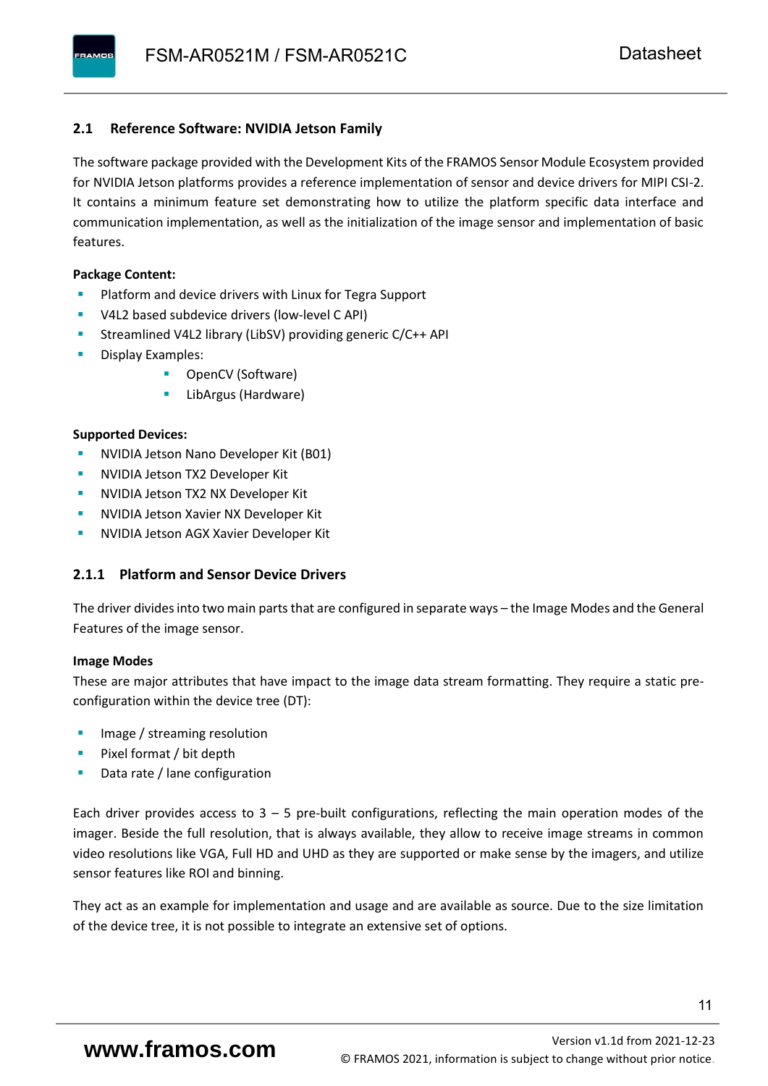#### <span id="page-12-0"></span>**2.1 Reference Software: NVIDIA Jetson Family**

The software package provided with the Development Kits of the FRAMOS Sensor Module Ecosystem provided for NVIDIA Jetson platforms provides a reference implementation of sensor and device drivers for MIPI CSI-2. It contains a minimum feature set demonstrating how to utilize the platform specific data interface and communication implementation, as well as the initialization of the image sensor and implementation of basic features.

#### **Package Content:**

- Platform and device drivers with Linux for Tegra Support
- V4L2 based subdevice drivers (low-level C API)
- Streamlined V4L2 library (LibSV) providing generic C/C++ API
- Display Examples:
	- OpenCV (Software)
	- LibArgus (Hardware)

#### **Supported Devices:**

- **NVIDIA Jetson Nano Developer Kit (B01)**
- **NVIDIA Jetson TX2 Developer Kit**
- NVIDIA Jetson TX2 NX Developer Kit
- **NVIDIA Jetson Xavier NX Developer Kit**
- **NVIDIA Jetson AGX Xavier Developer Kit**

#### <span id="page-12-1"></span>**2.1.1 Platform and Sensor Device Drivers**

The driver divides into two main parts that are configured in separate ways – the Image Modes and the General Features of the image sensor.

#### **Image Modes**

These are major attributes that have impact to the image data stream formatting. They require a static preconfiguration within the device tree (DT):

- Image / streaming resolution
- Pixel format / bit depth
- Data rate / lane configuration

Each driver provides access to  $3 - 5$  pre-built configurations, reflecting the main operation modes of the imager. Beside the full resolution, that is always available, they allow to receive image streams in common video resolutions like VGA, Full HD and UHD as they are supported or make sense by the imagers, and utilize sensor features like ROI and binning.

They act as an example for implementation and usage and are available as source. Due to the size limitation of the device tree, it is not possible to integrate an extensive set of options.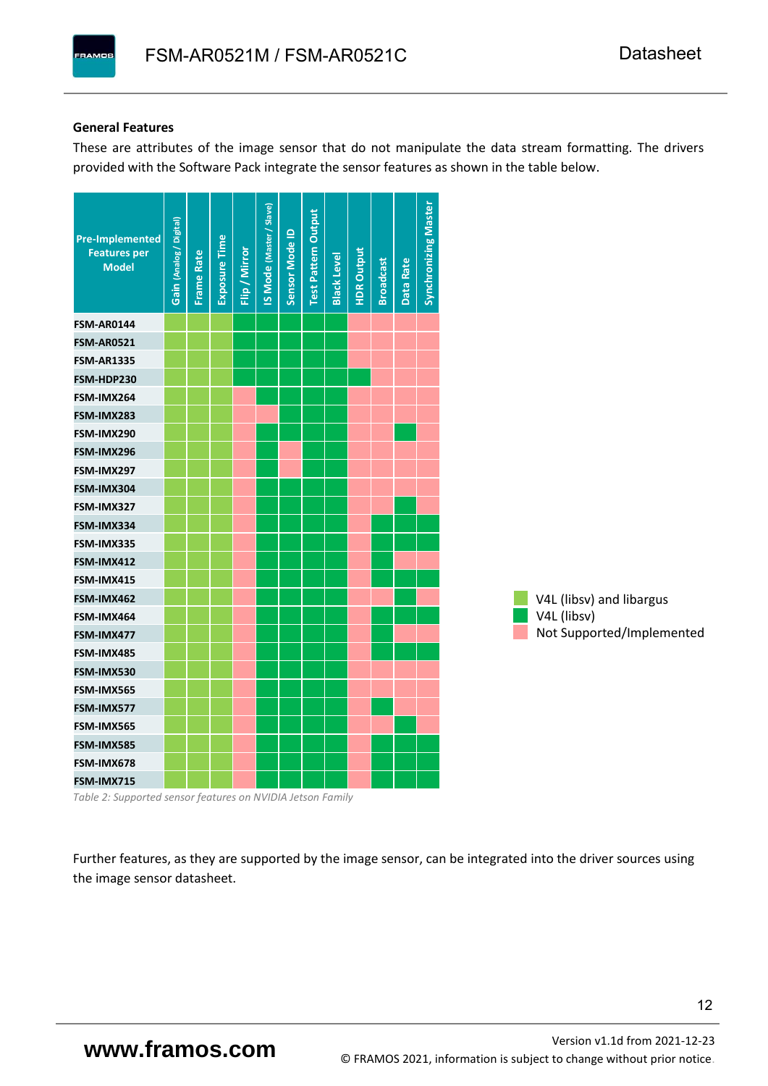#### **General Features**

These are attributes of the image sensor that do not manipulate the data stream formatting. The drivers provided with the Software Pack integrate the sensor features as shown in the table below.

| <b>Pre-Implemented</b><br><b>Features per</b><br><b>Model</b> | Gain (Analog / Digital) | <b>Frame Rate</b> | <b>Exposure Time</b> | Flip / Mirror | <b>IS Mode (Master / Slave)</b> | Sensor Mode ID | <b>Test Pattern Output</b> | <b>Black Level</b> | <b>HDR Output</b> | <b>Broadcast</b> | Data Rate | <b>Synchronizing Master</b> |                           |
|---------------------------------------------------------------|-------------------------|-------------------|----------------------|---------------|---------------------------------|----------------|----------------------------|--------------------|-------------------|------------------|-----------|-----------------------------|---------------------------|
| <b>FSM-AR0144</b>                                             |                         |                   |                      |               |                                 |                |                            |                    |                   |                  |           |                             |                           |
| <b>FSM-AR0521</b>                                             |                         |                   |                      |               |                                 |                |                            |                    |                   |                  |           |                             |                           |
| <b>FSM-AR1335</b>                                             |                         |                   |                      |               |                                 |                |                            |                    |                   |                  |           |                             |                           |
| FSM-HDP230                                                    |                         |                   |                      |               |                                 |                |                            |                    |                   |                  |           |                             |                           |
| FSM-IMX264                                                    |                         |                   |                      |               |                                 |                |                            |                    |                   |                  |           |                             |                           |
| FSM-IMX283                                                    |                         |                   |                      |               |                                 |                |                            |                    |                   |                  |           |                             |                           |
| FSM-IMX290                                                    |                         |                   |                      |               |                                 |                |                            |                    |                   |                  |           |                             |                           |
| FSM-IMX296                                                    |                         |                   |                      |               |                                 |                |                            |                    |                   |                  |           |                             |                           |
| FSM-IMX297                                                    |                         |                   |                      |               |                                 |                |                            |                    |                   |                  |           |                             |                           |
| FSM-IMX304                                                    |                         |                   |                      |               |                                 |                |                            |                    |                   |                  |           |                             |                           |
| FSM-IMX327                                                    |                         |                   |                      |               |                                 |                |                            |                    |                   |                  |           |                             |                           |
| FSM-IMX334                                                    |                         |                   |                      |               |                                 |                |                            |                    |                   |                  |           |                             |                           |
| FSM-IMX335                                                    |                         |                   |                      |               |                                 |                |                            |                    |                   |                  |           |                             |                           |
| FSM-IMX412                                                    |                         |                   |                      |               |                                 |                |                            |                    |                   |                  |           |                             |                           |
| FSM-IMX415                                                    |                         |                   |                      |               |                                 |                |                            |                    |                   |                  |           |                             |                           |
| FSM-IMX462                                                    |                         |                   |                      |               |                                 |                |                            |                    |                   |                  |           |                             | V4L (libsv) and libargus  |
| FSM-IMX464                                                    |                         |                   |                      |               |                                 |                |                            |                    |                   |                  |           |                             | V4L (libsv)               |
| FSM-IMX477                                                    |                         |                   |                      |               |                                 |                |                            |                    |                   |                  |           |                             | Not Supported/Implemented |
| FSM-IMX485                                                    |                         |                   |                      |               |                                 |                |                            |                    |                   |                  |           |                             |                           |
| FSM-IMX530                                                    |                         |                   |                      |               |                                 |                |                            |                    |                   |                  |           |                             |                           |
| FSM-IMX565                                                    |                         |                   |                      |               |                                 |                |                            |                    |                   |                  |           |                             |                           |
| FSM-IMX577                                                    |                         |                   |                      |               |                                 |                |                            |                    |                   |                  |           |                             |                           |
| FSM-IMX565                                                    |                         |                   |                      |               |                                 |                |                            |                    |                   |                  |           |                             |                           |
| FSM-IMX585                                                    |                         |                   |                      |               |                                 |                |                            |                    |                   |                  |           |                             |                           |
| FSM-IMX678                                                    |                         |                   |                      |               |                                 |                |                            |                    |                   |                  |           |                             |                           |
| FSM-IMX715                                                    |                         |                   |                      |               |                                 |                |                            |                    |                   |                  |           |                             |                           |

*Table 2: Supported sensor features on NVIDIA Jetson Family*

Further features, as they are supported by the image sensor, can be integrated into the driver sources using the image sensor datasheet.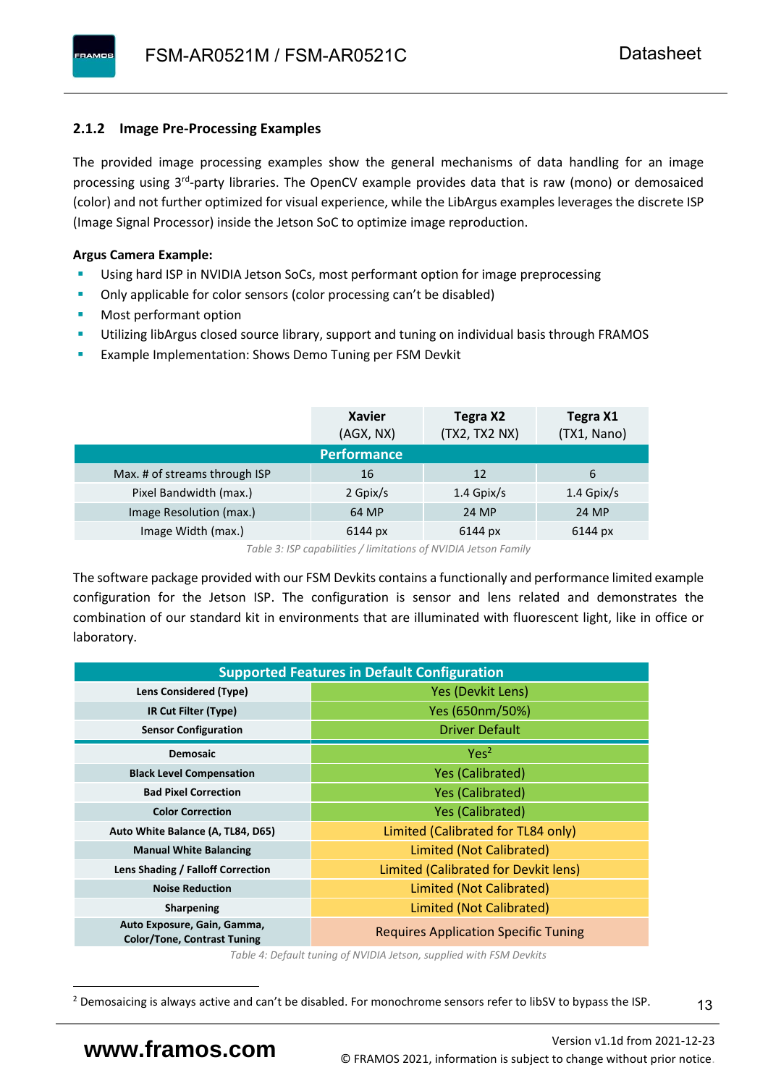### <span id="page-14-0"></span>**2.1.2 Image Pre-Processing Examples**

The provided image processing examples show the general mechanisms of data handling for an image processing using 3<sup>rd</sup>-party libraries. The OpenCV example provides data that is raw (mono) or demosaiced (color) and not further optimized for visual experience, while the LibArgus examples leverages the discrete ISP (Image Signal Processor) inside the Jetson SoC to optimize image reproduction.

#### **Argus Camera Example:**

- Using hard ISP in NVIDIA Jetson SoCs, most performant option for image preprocessing
- Only applicable for color sensors (color processing can't be disabled)
- Most performant option
- Utilizing libArgus closed source library, support and tuning on individual basis through FRAMOS
- Example Implementation: Shows Demo Tuning per FSM Devkit

|                               | <b>Xavier</b><br>(AGX, NX) | Tegra X2<br>(TX2, TX2 NX) | Tegra X1<br>(TX1, Nano) |
|-------------------------------|----------------------------|---------------------------|-------------------------|
|                               | <b>Performance</b>         |                           |                         |
| Max. # of streams through ISP | 16                         | 12                        | 6                       |
| Pixel Bandwidth (max.)        | 2 Gpix/s                   | $1.4$ Gpix/s              | $1.4$ Gpix/s            |
| Image Resolution (max.)       | 64 MP                      | 24 MP                     | 24 MP                   |
| Image Width (max.)            | 6144 px                    | 6144 px                   | 6144 px                 |

*Table 3: ISP capabilities / limitations of NVIDIA Jetson Family*

The software package provided with our FSM Devkits contains a functionally and performance limited example configuration for the Jetson ISP. The configuration is sensor and lens related and demonstrates the combination of our standard kit in environments that are illuminated with fluorescent light, like in office or laboratory.

|                                                                   | <b>Supported Features in Default Configuration</b> |  |  |  |  |
|-------------------------------------------------------------------|----------------------------------------------------|--|--|--|--|
| Lens Considered (Type)                                            | Yes (Devkit Lens)                                  |  |  |  |  |
| IR Cut Filter (Type)                                              | Yes (650nm/50%)                                    |  |  |  |  |
| <b>Sensor Configuration</b>                                       | <b>Driver Default</b>                              |  |  |  |  |
| <b>Demosaic</b>                                                   | Yes <sup>2</sup>                                   |  |  |  |  |
| <b>Black Level Compensation</b>                                   | <b>Yes (Calibrated)</b>                            |  |  |  |  |
| <b>Bad Pixel Correction</b>                                       | <b>Yes (Calibrated)</b>                            |  |  |  |  |
| <b>Color Correction</b>                                           | <b>Yes (Calibrated)</b>                            |  |  |  |  |
| Auto White Balance (A, TL84, D65)                                 | Limited (Calibrated for TL84 only)                 |  |  |  |  |
| <b>Manual White Balancing</b>                                     | Limited (Not Calibrated)                           |  |  |  |  |
| Lens Shading / Falloff Correction                                 | Limited (Calibrated for Devkit lens)               |  |  |  |  |
| <b>Noise Reduction</b>                                            | Limited (Not Calibrated)                           |  |  |  |  |
| <b>Sharpening</b>                                                 | Limited (Not Calibrated)                           |  |  |  |  |
| Auto Exposure, Gain, Gamma,<br><b>Color/Tone, Contrast Tuning</b> | <b>Requires Application Specific Tuning</b>        |  |  |  |  |

*Table 4: Default tuning of NVIDIA Jetson, supplied with FSM Devkits*

13

<sup>&</sup>lt;sup>2</sup> Demosaicing is always active and can't be disabled. For monochrome sensors refer to libSV to bypass the ISP.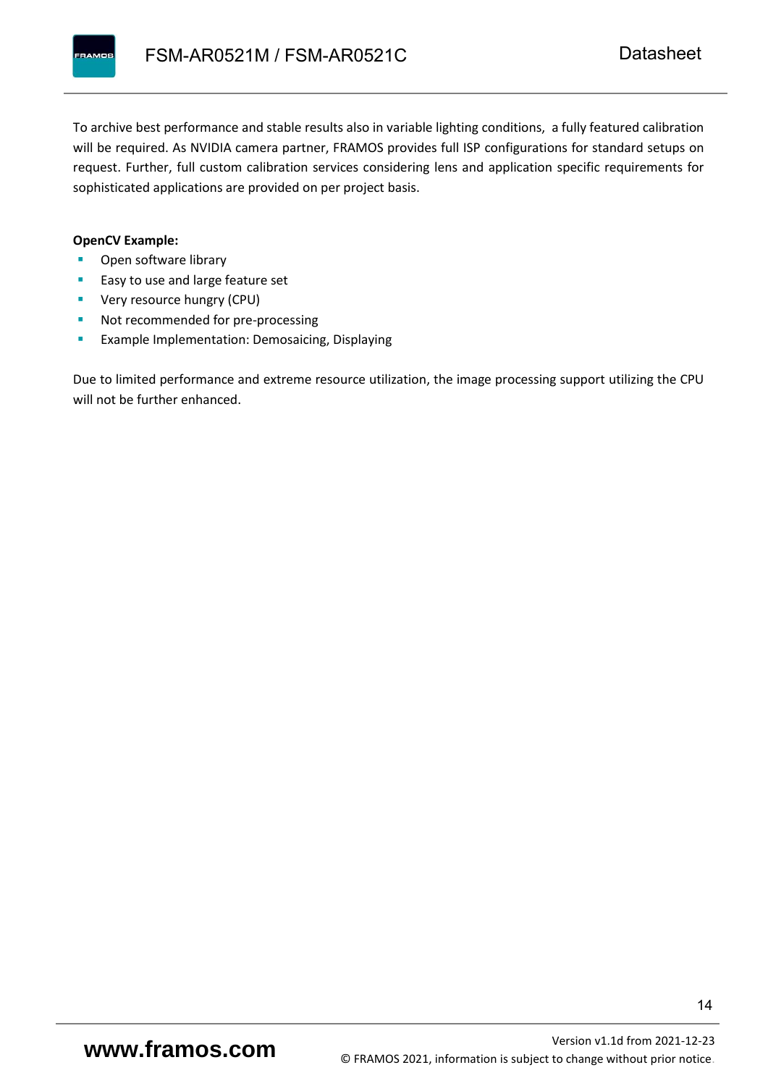To archive best performance and stable results also in variable lighting conditions, a fully featured calibration will be required. As NVIDIA camera partner, FRAMOS provides full ISP configurations for standard setups on request. Further, full custom calibration services considering lens and application specific requirements for sophisticated applications are provided on per project basis.

#### **OpenCV Example:**

- Open software library
- Easy to use and large feature set
- **•** Very resource hungry (CPU)
- Not recommended for pre-processing
- **Example Implementation: Demosaicing, Displaying**

Due to limited performance and extreme resource utilization, the image processing support utilizing the CPU will not be further enhanced.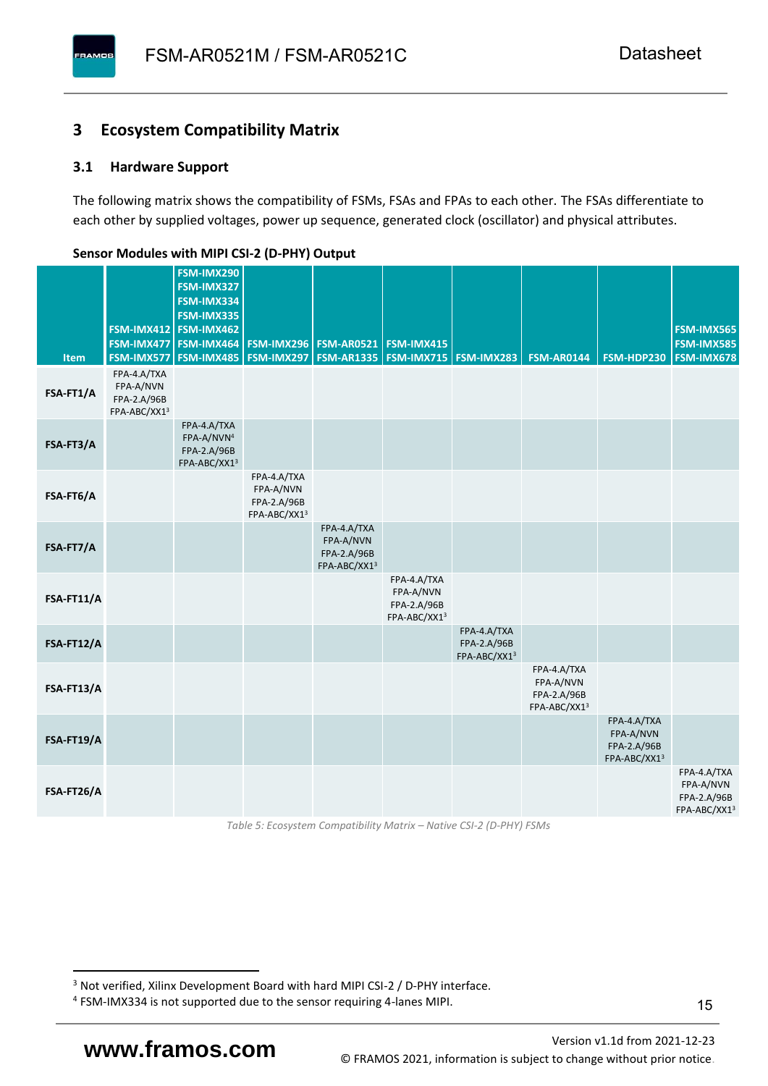#### <span id="page-16-0"></span>**3 Ecosystem Compatibility Matrix**

#### <span id="page-16-1"></span>**3.1 Hardware Support**

**PAMOS** 

The following matrix shows the compatibility of FSMs, FSAs and FPAs to each other. The FSAs differentiate to each other by supplied voltages, power up sequence, generated clock (oscillator) and physical attributes.

|            |                                                         | FSM-IMX290<br>FSM-IMX327                                             |                                                         |                                                         |                                                         |                                            |                                                         |                                                         |                                                         |
|------------|---------------------------------------------------------|----------------------------------------------------------------------|---------------------------------------------------------|---------------------------------------------------------|---------------------------------------------------------|--------------------------------------------|---------------------------------------------------------|---------------------------------------------------------|---------------------------------------------------------|
|            |                                                         | FSM-IMX334<br>FSM-IMX335                                             |                                                         |                                                         |                                                         |                                            |                                                         |                                                         |                                                         |
|            |                                                         | FSM-IMX412 FSM-IMX462<br>FSM-IMX477 FSM-IMX464                       |                                                         | <b>FSM-IMX296 FSM-AR0521</b>                            | FSM-IMX415                                              |                                            |                                                         |                                                         | FSM-IMX565<br><b>FSM-IMX585</b>                         |
| Item       | FSM-IMX577                                              | FSM-IMX485                                                           |                                                         | <b>FSM-IMX297   FSM-AR1335  </b>                        | <b>FSM-IMX715 FSM-IMX283</b>                            |                                            | <b>FSM-AR0144</b>                                       | FSM-HDP230                                              | <b>FSM-IMX678</b>                                       |
| FSA-FT1/A  | FPA-4.A/TXA<br>FPA-A/NVN<br>FPA-2.A/96B<br>FPA-ABC/XX13 |                                                                      |                                                         |                                                         |                                                         |                                            |                                                         |                                                         |                                                         |
| FSA-FT3/A  |                                                         | FPA-4.A/TXA<br>FPA-A/NVN <sup>4</sup><br>FPA-2.A/96B<br>FPA-ABC/XX13 |                                                         |                                                         |                                                         |                                            |                                                         |                                                         |                                                         |
| FSA-FT6/A  |                                                         |                                                                      | FPA-4.A/TXA<br>FPA-A/NVN<br>FPA-2.A/96B<br>FPA-ABC/XX13 |                                                         |                                                         |                                            |                                                         |                                                         |                                                         |
| FSA-FT7/A  |                                                         |                                                                      |                                                         | FPA-4.A/TXA<br>FPA-A/NVN<br>FPA-2.A/96B<br>FPA-ABC/XX13 |                                                         |                                            |                                                         |                                                         |                                                         |
| FSA-FT11/A |                                                         |                                                                      |                                                         |                                                         | FPA-4.A/TXA<br>FPA-A/NVN<br>FPA-2.A/96B<br>FPA-ABC/XX13 |                                            |                                                         |                                                         |                                                         |
| FSA-FT12/A |                                                         |                                                                      |                                                         |                                                         |                                                         | FPA-4.A/TXA<br>FPA-2.A/96B<br>FPA-ABC/XX13 |                                                         |                                                         |                                                         |
| FSA-FT13/A |                                                         |                                                                      |                                                         |                                                         |                                                         |                                            | FPA-4.A/TXA<br>FPA-A/NVN<br>FPA-2.A/96B<br>FPA-ABC/XX13 |                                                         |                                                         |
| FSA-FT19/A |                                                         |                                                                      |                                                         |                                                         |                                                         |                                            |                                                         | FPA-4.A/TXA<br>FPA-A/NVN<br>FPA-2.A/96B<br>FPA-ABC/XX13 |                                                         |
| FSA-FT26/A |                                                         |                                                                      |                                                         |                                                         |                                                         |                                            |                                                         |                                                         | FPA-4.A/TXA<br>FPA-A/NVN<br>FPA-2.A/96B<br>FPA-ABC/XX13 |

#### <span id="page-16-2"></span>**Sensor Modules with MIPI CSI-2 (D-PHY) Output**

*Table 5: Ecosystem Compatibility Matrix – Native CSI-2 (D-PHY) FSMs*

Version [v1.1d](#page-0-3) from 2021-12-23 **www.framos.com** © FRAMOS 2021, [information is subject to change without prior notice.](mailto:sales@framos.de)

<sup>&</sup>lt;sup>3</sup> Not verified, Xilinx Development Board with hard MIPI CSI-2 / D-PHY interface.

<sup>4</sup> FSM-IMX334 is not supported due to the sensor requiring 4-lanes MIPI.